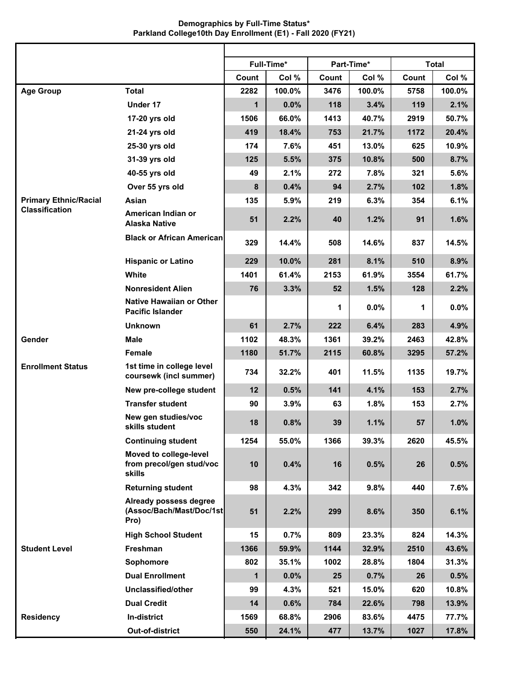## **Demographics by Full-Time Status\* Parkland College10th Day Enrollment (E1) - Fall 2020 (FY21)**

|                              |                                                              |              | Full-Time* |       | Part-Time* |       | <b>Total</b> |
|------------------------------|--------------------------------------------------------------|--------------|------------|-------|------------|-------|--------------|
|                              |                                                              | Count        | Col %      | Count | Col %      | Count | Col %        |
| <b>Age Group</b>             | <b>Total</b>                                                 | 2282         | 100.0%     | 3476  | 100.0%     | 5758  | 100.0%       |
|                              | Under 17                                                     | $\mathbf{1}$ | 0.0%       | 118   | 3.4%       | 119   | 2.1%         |
|                              | 17-20 yrs old                                                | 1506         | 66.0%      | 1413  | 40.7%      | 2919  | 50.7%        |
|                              | 21-24 yrs old                                                | 419          | 18.4%      | 753   | 21.7%      | 1172  | 20.4%        |
|                              | 25-30 yrs old                                                | 174          | 7.6%       | 451   | 13.0%      | 625   | 10.9%        |
|                              | 31-39 yrs old                                                | 125          | 5.5%       | 375   | 10.8%      | 500   | 8.7%         |
|                              | 40-55 yrs old                                                | 49           | 2.1%       | 272   | 7.8%       | 321   | 5.6%         |
|                              | Over 55 yrs old                                              | 8            | 0.4%       | 94    | 2.7%       | 102   | 1.8%         |
| <b>Primary Ethnic/Racial</b> | Asian                                                        | 135          | 5.9%       | 219   | 6.3%       | 354   | 6.1%         |
| <b>Classification</b>        | American Indian or<br><b>Alaska Native</b>                   | 51           | 2.2%       | 40    | 1.2%       | 91    | 1.6%         |
|                              | <b>Black or African American</b>                             | 329          | 14.4%      | 508   | 14.6%      | 837   | 14.5%        |
|                              | <b>Hispanic or Latino</b>                                    | 229          | 10.0%      | 281   | 8.1%       | 510   | 8.9%         |
|                              | White                                                        | 1401         | 61.4%      | 2153  | 61.9%      | 3554  | 61.7%        |
|                              | <b>Nonresident Alien</b>                                     | 76           | 3.3%       | 52    | 1.5%       | 128   | 2.2%         |
|                              | <b>Native Hawaiian or Other</b><br><b>Pacific Islander</b>   |              |            | 1     | $0.0\%$    | 1     | 0.0%         |
|                              | <b>Unknown</b>                                               | 61           | 2.7%       | 222   | 6.4%       | 283   | 4.9%         |
| Gender                       | <b>Male</b>                                                  | 1102         | 48.3%      | 1361  | 39.2%      | 2463  | 42.8%        |
|                              | <b>Female</b>                                                | 1180         | 51.7%      | 2115  | 60.8%      | 3295  | 57.2%        |
| <b>Enrollment Status</b>     | 1st time in college level<br>coursewk (incl summer)          | 734          | 32.2%      | 401   | 11.5%      | 1135  | 19.7%        |
|                              | New pre-college student                                      | 12           | 0.5%       | 141   | 4.1%       | 153   | 2.7%         |
|                              | <b>Transfer student</b>                                      | 90           | 3.9%       | 63    | 1.8%       | 153   | 2.7%         |
|                              | New gen studies/voc<br>skills student                        | 18           | 0.8%       | 39    | 1.1%       | 57    | 1.0%         |
|                              | <b>Continuing student</b>                                    | 1254         | 55.0%      | 1366  | 39.3%      | 2620  | 45.5%        |
|                              | Moved to college-level<br>from precol/gen stud/voc<br>skills | 10           | 0.4%       | 16    | 0.5%       | 26    | 0.5%         |
|                              | <b>Returning student</b>                                     | 98           | 4.3%       | 342   | 9.8%       | 440   | 7.6%         |
|                              | Already possess degree<br>(Assoc/Bach/Mast/Doc/1st<br>Pro)   | 51           | 2.2%       | 299   | 8.6%       | 350   | 6.1%         |
|                              | <b>High School Student</b>                                   | 15           | 0.7%       | 809   | 23.3%      | 824   | 14.3%        |
| <b>Student Level</b>         | Freshman                                                     | 1366         | 59.9%      | 1144  | 32.9%      | 2510  | 43.6%        |
|                              | Sophomore                                                    | 802          | 35.1%      | 1002  | 28.8%      | 1804  | 31.3%        |
|                              | <b>Dual Enrollment</b>                                       | $\mathbf{1}$ | 0.0%       | 25    | 0.7%       | 26    | 0.5%         |
|                              | Unclassified/other                                           | 99           | 4.3%       | 521   | 15.0%      | 620   | 10.8%        |
|                              | <b>Dual Credit</b>                                           | 14           | 0.6%       | 784   | 22.6%      | 798   | 13.9%        |
| <b>Residency</b>             | In-district                                                  | 1569         | 68.8%      | 2906  | 83.6%      | 4475  | 77.7%        |
|                              | Out-of-district                                              | 550          | 24.1%      | 477   | 13.7%      | 1027  | 17.8%        |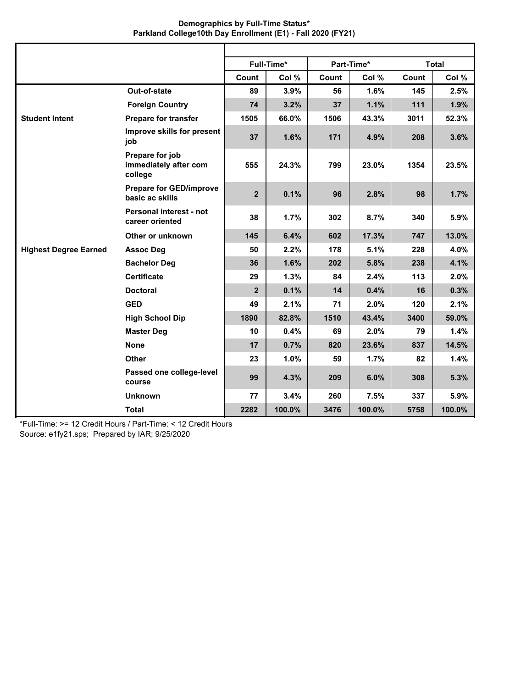| Demographics by Full-Time Status*                           |  |
|-------------------------------------------------------------|--|
| Parkland College10th Day Enrollment (E1) - Fall 2020 (FY21) |  |

|                              |                                                     |                | Full-Time* |       | Part-Time* |       | Total  |
|------------------------------|-----------------------------------------------------|----------------|------------|-------|------------|-------|--------|
|                              |                                                     | Count          | Col %      | Count | Col %      | Count | Col %  |
|                              | Out-of-state                                        | 89             | 3.9%       | 56    | 1.6%       | 145   | 2.5%   |
|                              | <b>Foreign Country</b>                              | 74             | 3.2%       | 37    | 1.1%       | 111   | 1.9%   |
| <b>Student Intent</b>        | <b>Prepare for transfer</b>                         | 1505           | 66.0%      | 1506  | 43.3%      | 3011  | 52.3%  |
|                              | Improve skills for present<br>job                   | 37             | 1.6%       | 171   | 4.9%       | 208   | 3.6%   |
|                              | Prepare for job<br>immediately after com<br>college | 555            | 24.3%      | 799   | 23.0%      | 1354  | 23.5%  |
|                              | <b>Prepare for GED/improve</b><br>basic ac skills   | $\overline{2}$ | 0.1%       | 96    | 2.8%       | 98    | 1.7%   |
|                              | Personal interest - not<br>career oriented          | 38             | 1.7%       | 302   | 8.7%       | 340   | 5.9%   |
|                              | Other or unknown                                    | 145            | 6.4%       | 602   | 17.3%      | 747   | 13.0%  |
| <b>Highest Degree Earned</b> | <b>Assoc Deg</b>                                    | 50             | 2.2%       | 178   | 5.1%       | 228   | 4.0%   |
|                              | <b>Bachelor Deg</b>                                 | 36             | 1.6%       | 202   | 5.8%       | 238   | 4.1%   |
|                              | <b>Certificate</b>                                  | 29             | 1.3%       | 84    | 2.4%       | 113   | 2.0%   |
|                              | <b>Doctoral</b>                                     | $\overline{2}$ | 0.1%       | 14    | 0.4%       | 16    | 0.3%   |
|                              | <b>GED</b>                                          | 49             | 2.1%       | 71    | 2.0%       | 120   | 2.1%   |
|                              | <b>High School Dip</b>                              | 1890           | 82.8%      | 1510  | 43.4%      | 3400  | 59.0%  |
|                              | <b>Master Deg</b>                                   | 10             | 0.4%       | 69    | 2.0%       | 79    | 1.4%   |
|                              | <b>None</b>                                         | 17             | 0.7%       | 820   | 23.6%      | 837   | 14.5%  |
|                              | <b>Other</b>                                        | 23             | 1.0%       | 59    | 1.7%       | 82    | 1.4%   |
|                              | Passed one college-level<br>course                  | 99             | 4.3%       | 209   | 6.0%       | 308   | 5.3%   |
|                              | <b>Unknown</b>                                      | 77             | 3.4%       | 260   | 7.5%       | 337   | 5.9%   |
|                              | <b>Total</b>                                        | 2282           | 100.0%     | 3476  | 100.0%     | 5758  | 100.0% |

\*Full-Time: >= 12 Credit Hours / Part-Time: < 12 Credit Hours Source: e1fy21.sps; Prepared by IAR; 9/25/2020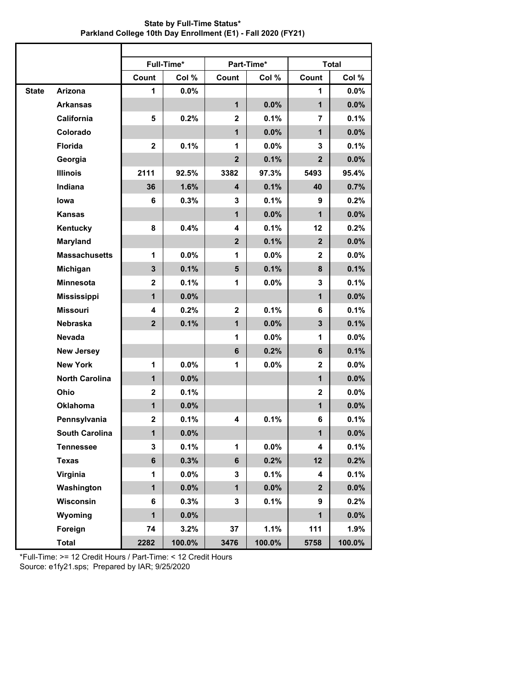| <b>State by Full-Time Status*</b>                            |
|--------------------------------------------------------------|
| Parkland College 10th Day Enrollment (E1) - Fall 2020 (FY21) |

|              |                       |                         | Full-Time* |                | Part-Time* |                | <b>Total</b> |
|--------------|-----------------------|-------------------------|------------|----------------|------------|----------------|--------------|
|              |                       | Count                   | Col %      | Count          | Col %      | Count          | Col %        |
| <b>State</b> | Arizona               | 1                       | 0.0%       |                |            | 1              | 0.0%         |
|              | <b>Arkansas</b>       |                         |            | $\mathbf{1}$   | 0.0%       | $\mathbf{1}$   | 0.0%         |
|              | California            | 5                       | 0.2%       | $\mathbf{2}$   | 0.1%       | 7              | 0.1%         |
|              | Colorado              |                         |            | $\mathbf{1}$   | 0.0%       | $\mathbf{1}$   | 0.0%         |
|              | <b>Florida</b>        | $\mathbf 2$             | 0.1%       | 1              | 0.0%       | 3              | 0.1%         |
|              | Georgia               |                         |            | $\mathbf{2}$   | 0.1%       | $\mathbf{2}$   | 0.0%         |
|              | <b>Illinois</b>       | 2111                    | 92.5%      | 3382           | 97.3%      | 5493           | 95.4%        |
|              | Indiana               | 36                      | 1.6%       | 4              | 0.1%       | 40             | 0.7%         |
|              | lowa                  | 6                       | 0.3%       | 3              | 0.1%       | 9              | 0.2%         |
|              | <b>Kansas</b>         |                         |            | $\mathbf{1}$   | 0.0%       | $\mathbf{1}$   | 0.0%         |
|              | Kentucky              | 8                       | 0.4%       | 4              | 0.1%       | 12             | 0.2%         |
|              | <b>Maryland</b>       |                         |            | 2 <sup>2</sup> | 0.1%       | $\overline{2}$ | 0.0%         |
|              | <b>Massachusetts</b>  | 1                       | $0.0\%$    | 1              | $0.0\%$    | $\mathbf{2}$   | $0.0\%$      |
|              | Michigan              | $\mathbf{3}$            | 0.1%       | $5\phantom{1}$ | 0.1%       | 8              | 0.1%         |
|              | <b>Minnesota</b>      | $\mathbf 2$             | 0.1%       | 1              | 0.0%       | 3              | 0.1%         |
|              | <b>Mississippi</b>    | $\mathbf{1}$            | 0.0%       |                |            | $\mathbf{1}$   | 0.0%         |
|              | <b>Missouri</b>       | 4                       | 0.2%       | $\mathbf{2}$   | 0.1%       | 6              | 0.1%         |
|              | <b>Nebraska</b>       | $\overline{\mathbf{2}}$ | 0.1%       | $\mathbf{1}$   | 0.0%       | $\mathbf{3}$   | 0.1%         |
|              | Nevada                |                         |            | 1              | 0.0%       | 1              | 0.0%         |
|              | <b>New Jersey</b>     |                         |            | $6\phantom{a}$ | 0.2%       | 6              | 0.1%         |
|              | <b>New York</b>       | 1                       | 0.0%       | 1              | 0.0%       | $\mathbf{2}$   | $0.0\%$      |
|              | <b>North Carolina</b> | $\mathbf{1}$            | 0.0%       |                |            | $\mathbf{1}$   | 0.0%         |
|              | Ohio                  | $\mathbf 2$             | 0.1%       |                |            | $\mathbf 2$    | 0.0%         |
|              | <b>Oklahoma</b>       | $\mathbf{1}$            | 0.0%       |                |            | $\mathbf{1}$   | 0.0%         |
|              | Pennsylvania          | $\mathbf 2$             | 0.1%       | 4              | 0.1%       | 6              | 0.1%         |
|              | <b>South Carolina</b> | 1                       | 0.0%       |                |            | 1              | 0.0%         |
|              | <b>Tennessee</b>      | 3                       | 0.1%       | 1              | $0.0\%$    | 4              | 0.1%         |
|              | <b>Texas</b>          | $6\phantom{a}$          | 0.3%       | $6\phantom{a}$ | 0.2%       | 12             | 0.2%         |
|              | Virginia              | $\mathbf{1}$            | 0.0%       | 3              | 0.1%       | 4              | 0.1%         |
|              | Washington            | $\mathbf{1}$            | 0.0%       | $\mathbf{1}$   | 0.0%       | $\overline{2}$ | $0.0\%$      |
|              | Wisconsin             | 6                       | 0.3%       | 3              | 0.1%       | 9              | 0.2%         |
|              | Wyoming               | $\mathbf{1}$            | 0.0%       |                |            | $\mathbf{1}$   | 0.0%         |
|              | Foreign               | 74                      | 3.2%       | 37             | 1.1%       | 111            | 1.9%         |
|              | <b>Total</b>          | 2282                    | 100.0%     | 3476           | 100.0%     | 5758           | 100.0%       |

\*Full-Time: >= 12 Credit Hours / Part-Time: < 12 Credit Hours Source: e1fy21.sps; Prepared by IAR; 9/25/2020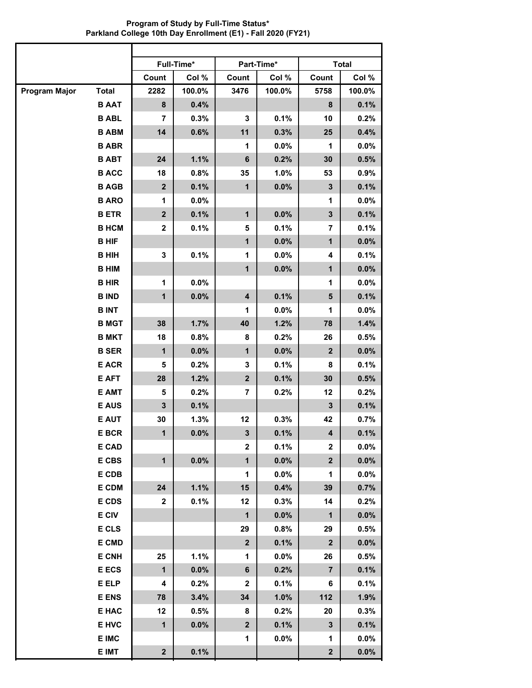**Full-Time\* Part-Time\* Total Count Col % Count Col % Count Col % Program Major Total B AAT B ABL B ABM B ABR B ABT B ACC B AGB B ARO B ETR B HCM B HIF B HIH B HIM B HIR B IND B INT B MGT B MKT B SER E ACR E AFT E AMT E AUS E AUT E BCR E CAD E CBS E CDB E CDM E CDS E CIV E CLS E CMD E CNH E ECS E ELP E ENS E HAC E HVC E IMC E IMT 2282 100.0% 3476 100.0% 5758 100.0% 8 0.4% 8 0.1% 7 0.3% 3 0.1% 10 0.2% 14 0.6% 11 0.3% 25 0.4% 1 0.0% 1 0.0% 24 1.1% 6 0.2% 30 0.5% 18 0.8% 35 1.0% 53 0.9% 2 0.1% 1 0.0% 3 0.1% 1 0.0% 1 0.0% 2 0.1% 1 0.0% 3 0.1% 2 0.1% 5 0.1% 7 0.1% 1 0.0% 1 0.0% 3 0.1% 1 0.0% 4 0.1% 1 0.0% 1 0.0% 1 0.0% 1 0.0% 1 0.0% 4 0.1% 5 0.1% 1 0.0% 1 0.0% 38 1.7% 40 1.2% 78 1.4% 18 0.8% 8 0.2% 26 0.5% 1 0.0% 1 0.0% 2 0.0% 5 0.2% 3 0.1% 8 0.1% 28 1.2% 2 0.1% 30 0.5% 5 0.2% 7 0.2% 12 0.2% 3 0.1% 3 0.1% 30 1.3% 12 0.3% 42 0.7% 1 0.0% 3 0.1% 4 0.1% 2 0.1% 2 0.0% 1 0.0% 1 0.0% 2 0.0% 1 0.0% 1 0.0% 24 1.1% 15 0.4% 39 0.7% 2 0.1% 12 0.3% 14 0.2% 1 0.0% 1 0.0% 29 0.8% 29 0.5%**  $2 | 0.1\% | 2 | 0.0\%$ **25 1.1% 1 0.0% 26 0.5% 1 0.0% 6 0.2% 7 0.1% 4 0.2% 2 0.1% 6 0.1% 78 3.4% 34 1.0% 112 1.9% 12 0.5% 8 0.2% 20 0.3% 1 0.0% 2 0.1% 3 0.1% 1 0.0% 1 0.0% 2 0.1% 2 0.0%**

**Program of Study by Full-Time Status\* Parkland College 10th Day Enrollment (E1) - Fall 2020 (FY21)**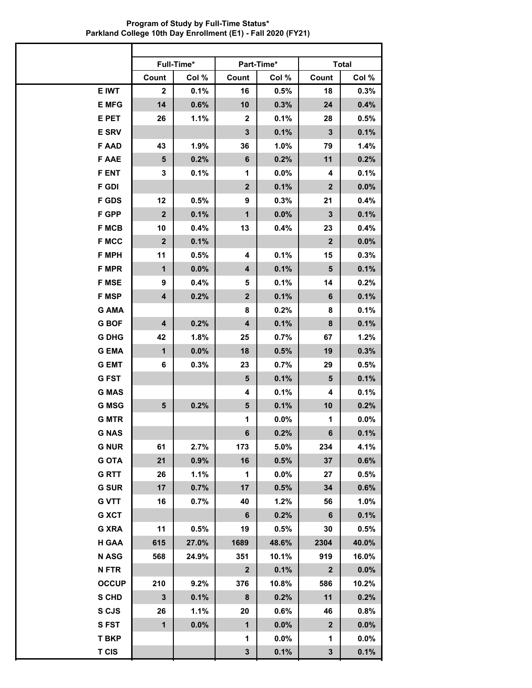|              |              | Full-Time* |              | Part-Time* |                | <b>Total</b> |
|--------------|--------------|------------|--------------|------------|----------------|--------------|
|              | Count        | Col %      | Count        | Col %      | Count          | Col %        |
| E IWT        | 2            | 0.1%       | 16           | 0.5%       | 18             | 0.3%         |
| <b>E MFG</b> | 14           | 0.6%       | 10           | 0.3%       | 24             | 0.4%         |
| E PET        | 26           | 1.1%       | $\mathbf{2}$ | 0.1%       | 28             | 0.5%         |
| <b>E SRV</b> |              |            | 3            | 0.1%       | $\mathbf{3}$   | 0.1%         |
| <b>FAAD</b>  | 43           | 1.9%       | 36           | 1.0%       | 79             | 1.4%         |
| <b>F AAE</b> | 5            | 0.2%       | 6            | 0.2%       | 11             | 0.2%         |
| <b>F ENT</b> | 3            | 0.1%       | 1            | 0.0%       | 4              | 0.1%         |
| <b>F GDI</b> |              |            | $\mathbf{2}$ | 0.1%       | $\mathbf{2}$   | 0.0%         |
| <b>F GDS</b> | 12           | 0.5%       | 9            | 0.3%       | 21             | 0.4%         |
| F GPP        | $\mathbf{2}$ | 0.1%       | 1            | 0.0%       | 3              | 0.1%         |
| <b>F MCB</b> | 10           | 0.4%       | 13           | 0.4%       | 23             | 0.4%         |
| <b>F MCC</b> | $\mathbf{2}$ | 0.1%       |              |            | $\overline{2}$ | 0.0%         |
| <b>F MPH</b> | 11           | 0.5%       | 4            | 0.1%       | 15             | 0.3%         |
| <b>F MPR</b> | 1            | 0.0%       | 4            | 0.1%       | 5              | 0.1%         |
| <b>F MSE</b> | 9            | 0.4%       | 5            | 0.1%       | 14             | 0.2%         |
| <b>F MSP</b> | 4            | 0.2%       | $\mathbf{2}$ | 0.1%       | 6              | 0.1%         |
| <b>G AMA</b> |              |            | 8            | 0.2%       | 8              | 0.1%         |
| <b>G BOF</b> | 4            | 0.2%       | 4            | 0.1%       | 8              | 0.1%         |
| <b>G DHG</b> | 42           | 1.8%       | 25           | 0.7%       | 67             | 1.2%         |
| <b>G EMA</b> | $\mathbf{1}$ | 0.0%       | 18           | 0.5%       | 19             | 0.3%         |
| <b>G EMT</b> | 6            | 0.3%       | 23           | 0.7%       | 29             | 0.5%         |
| <b>GFST</b>  |              |            | 5            | 0.1%       | 5              | 0.1%         |
| <b>G MAS</b> |              |            | 4            | 0.1%       | 4              | 0.1%         |
| <b>G MSG</b> | 5            | 0.2%       | 5            | 0.1%       | 10             | 0.2%         |
| <b>G MTR</b> |              |            | 1            | 0.0%       | 1              | 0.0%         |
| <b>G NAS</b> |              |            | 6            | 0.2%       | 6              | 0.1%         |
| <b>G NUR</b> | 61           | 2.7%       | 173          | 5.0%       | 234            | 4.1%         |
| <b>G OTA</b> | 21           | 0.9%       | 16           | 0.5%       | 37             | 0.6%         |
| <b>GRTT</b>  | 26           | 1.1%       | 1            | $0.0\%$    | 27             | 0.5%         |
| <b>G SUR</b> | 17           | 0.7%       | 17           | 0.5%       | 34             | 0.6%         |
| <b>G VTT</b> | 16           | 0.7%       | 40           | 1.2%       | 56             | 1.0%         |
| <b>G XCT</b> |              |            | $\bf 6$      | 0.2%       | $\bf 6$        | 0.1%         |
| <b>G XRA</b> | 11           | 0.5%       | 19           | 0.5%       | 30             | 0.5%         |
| H GAA        | 615          | 27.0%      | 1689         | 48.6%      | 2304           | 40.0%        |
| <b>NASG</b>  | 568          | 24.9%      | 351          | 10.1%      | 919            | 16.0%        |
| <b>NFTR</b>  |              |            | $\mathbf{2}$ | 0.1%       | $\mathbf{2}$   | 0.0%         |
| <b>OCCUP</b> | 210          | 9.2%       | 376          | 10.8%      | 586            | 10.2%        |
| S CHD        | $\mathbf{3}$ | 0.1%       | $\pmb{8}$    | 0.2%       | 11             | 0.2%         |
| S CJS        | 26           | 1.1%       | 20           | 0.6%       | 46             | 0.8%         |
| <b>SFST</b>  | $\mathbf 1$  | 0.0%       | $\mathbf{1}$ | $0.0\%$    | $\mathbf{2}$   | 0.0%         |
| <b>T BKP</b> |              |            | 1            | $0.0\%$    | 1              | 0.0%         |
| <b>T CIS</b> |              |            | $\mathbf{3}$ | 0.1%       | $\mathbf{3}$   | 0.1%         |

**Program of Study by Full-Time Status\* Parkland College 10th Day Enrollment (E1) - Fall 2020 (FY21)**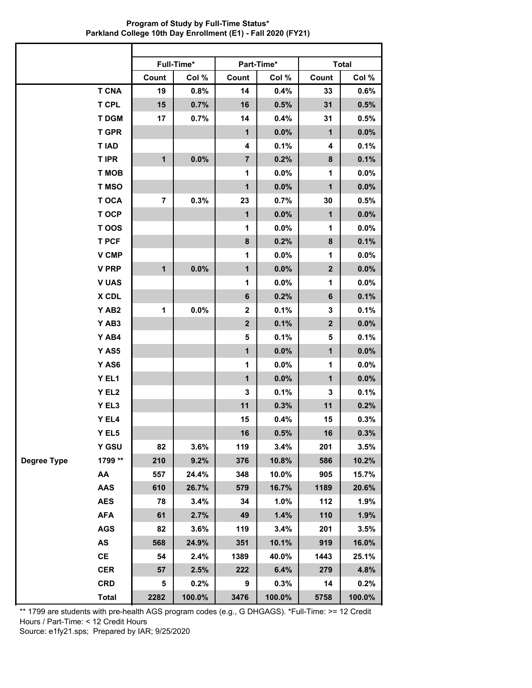|                    |                   |              | Full-Time*<br>Part-Time* |                  |         |              |         |  |
|--------------------|-------------------|--------------|--------------------------|------------------|---------|--------------|---------|--|
|                    |                   | Count        | Col %                    | Count            | Col %   | Count        | Col %   |  |
|                    | <b>T CNA</b>      | 19           | 0.8%                     | 14               | 0.4%    | 33           | 0.6%    |  |
|                    | <b>T CPL</b>      | 15           | 0.7%                     | 16               | 0.5%    | 31           | 0.5%    |  |
|                    | <b>TDGM</b>       | 17           | 0.7%                     | 14               | 0.4%    | 31           | 0.5%    |  |
|                    | <b>T GPR</b>      |              |                          | 1                | 0.0%    | $\mathbf{1}$ | 0.0%    |  |
|                    | <b>TIAD</b>       |              |                          | 4                | 0.1%    | 4            | 0.1%    |  |
|                    | <b>T IPR</b>      | $\mathbf{1}$ | 0.0%                     | $\overline{7}$   | 0.2%    | 8            | 0.1%    |  |
|                    | <b>T MOB</b>      |              |                          | 1                | 0.0%    | 1            | 0.0%    |  |
|                    | T MSO             |              |                          | $\mathbf{1}$     | 0.0%    | $\mathbf{1}$ | 0.0%    |  |
|                    | <b>TOCA</b>       | 7            | 0.3%                     | 23               | 0.7%    | 30           | 0.5%    |  |
|                    | T OCP             |              |                          | $\mathbf{1}$     | 0.0%    | $\mathbf{1}$ | 0.0%    |  |
|                    | T OOS             |              |                          | 1                | 0.0%    | 1            | 0.0%    |  |
|                    | <b>T PCF</b>      |              |                          | 8                | 0.2%    | 8            | 0.1%    |  |
|                    | <b>V CMP</b>      |              |                          | 1                | $0.0\%$ | 1            | $0.0\%$ |  |
|                    | <b>V PRP</b>      | $\mathbf{1}$ | 0.0%                     | $\mathbf{1}$     | 0.0%    | $\mathbf{2}$ | 0.0%    |  |
|                    | <b>V UAS</b>      |              |                          | 1                | 0.0%    | 1            | 0.0%    |  |
|                    | X CDL             |              |                          | $\bf 6$          | 0.2%    | 6            | 0.1%    |  |
|                    | YAB <sub>2</sub>  | 1            | 0.0%                     | $\mathbf 2$      | 0.1%    | 3            | 0.1%    |  |
|                    | YAB3              |              |                          | $\boldsymbol{2}$ | 0.1%    | $\mathbf{2}$ | 0.0%    |  |
|                    | Y AB4             |              |                          | 5                | 0.1%    | 5            | 0.1%    |  |
|                    | Y AS5             |              |                          | $\mathbf{1}$     | 0.0%    | $\mathbf{1}$ | 0.0%    |  |
|                    | Y AS6             |              |                          | 1                | $0.0\%$ | 1            | 0.0%    |  |
|                    | Y EL1             |              |                          | $\mathbf{1}$     | 0.0%    | $\mathbf{1}$ | 0.0%    |  |
|                    | Y EL <sub>2</sub> |              |                          | 3                | 0.1%    | 3            | 0.1%    |  |
|                    | Y EL3             |              |                          | 11               | 0.3%    | 11           | 0.2%    |  |
|                    | Y EL4             |              |                          | 15               | 0.4%    | 15           | 0.3%    |  |
|                    | Y EL5             |              |                          | 16               | 0.5%    | 16           | 0.3%    |  |
|                    | Y GSU             | 82           | 3.6%                     | 119              | 3.4%    | 201          | 3.5%    |  |
| <b>Degree Type</b> | 1799 **           | 210          | 9.2%                     | 376              | 10.8%   | 586          | 10.2%   |  |
|                    | AA                | 557          | 24.4%                    | 348              | 10.0%   | 905          | 15.7%   |  |
|                    | <b>AAS</b>        | 610          | 26.7%                    | 579              | 16.7%   | 1189         | 20.6%   |  |
|                    | <b>AES</b>        | 78           | 3.4%                     | 34               | 1.0%    | 112          | 1.9%    |  |
|                    | <b>AFA</b>        | 61           | 2.7%                     | 49               | 1.4%    | 110          | 1.9%    |  |
|                    | <b>AGS</b>        | 82           | 3.6%                     | 119              | 3.4%    | 201          | 3.5%    |  |
|                    | AS                | 568          | 24.9%                    | 351              | 10.1%   | 919          | 16.0%   |  |
|                    | $\mathsf{CE}$     | 54           | 2.4%                     | 1389             | 40.0%   | 1443         | 25.1%   |  |
|                    | <b>CER</b>        | 57           | 2.5%                     | 222              | 6.4%    | 279          | 4.8%    |  |
|                    | <b>CRD</b>        | 5            | 0.2%                     | 9                | 0.3%    | 14           | 0.2%    |  |
|                    | <b>Total</b>      | 2282         | 100.0%                   | 3476             | 100.0%  | 5758         | 100.0%  |  |

**Program of Study by Full-Time Status\* Parkland College 10th Day Enrollment (E1) - Fall 2020 (FY21)**

\*\* 1799 are students with pre-health AGS program codes (e.g., G DHGAGS). \*Full-Time: >= 12 Credit Hours / Part-Time: < 12 Credit Hours Source: e1fy21.sps; Prepared by IAR; 9/25/2020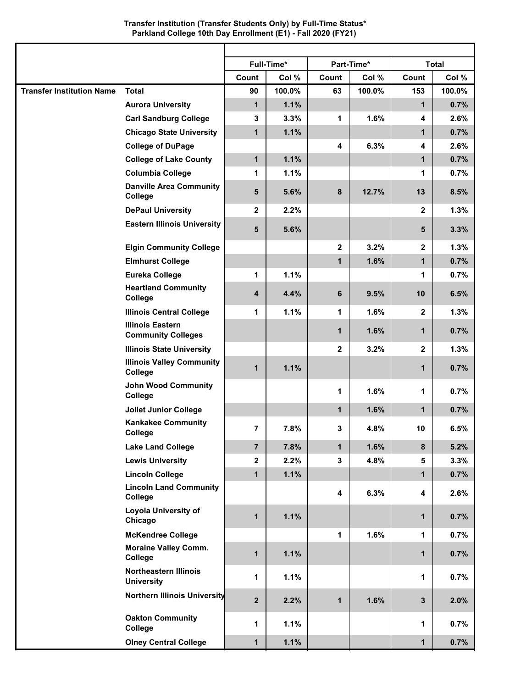## **Transfer Institution (Transfer Students Only) by Full-Time Status\* Parkland College 10th Day Enrollment (E1) - Fall 2020 (FY21)**

| Full-Time*<br>Part-Time*<br><b>Total</b><br>Count<br>Col %<br>Count<br>Col %<br>Count<br>Col %<br><b>Total</b><br>100.0%<br>100.0%<br>153<br>100.0%<br>90<br>63<br><b>Aurora University</b><br>$\mathbf{1}$<br>1.1%<br>0.7%<br>$\mathbf{1}$<br><b>Carl Sandburg College</b><br>3.3%<br>1<br>1.6%<br>2.6%<br>3<br>4<br>$\mathbf{1}$<br>1.1%<br>0.7%<br><b>Chicago State University</b><br>$\mathbf{1}$<br><b>College of DuPage</b><br>4<br>6.3%<br>4<br>2.6%<br>1.1%<br><b>College of Lake County</b><br>$\mathbf{1}$<br>$\mathbf{1}$<br>0.7%<br><b>Columbia College</b><br>1.1%<br>0.7%<br>1<br>1<br><b>Danville Area Community</b><br>12.7%<br>5<br>5.6%<br>8<br>13<br>8.5%<br>College<br><b>DePaul University</b><br>$\mathbf{2}$<br>2.2%<br>$\mathbf{2}$<br>1.3%<br><b>Eastern Illinois University</b><br>5.6%<br>3.3%<br>5<br>5<br><b>Elgin Community College</b><br>$\mathbf{2}$<br>3.2%<br>$\mathbf{2}$<br>1.3%<br><b>Elmhurst College</b><br>$\mathbf{1}$<br>1.6%<br>$\mathbf{1}$<br>0.7%<br><b>Eureka College</b><br>1<br>1.1%<br>0.7%<br>1<br><b>Heartland Community</b><br>9.5%<br>4<br>4.4%<br>6<br>10<br>6.5%<br>College<br>1.1%<br>1.6%<br>1.3%<br><b>Illinois Central College</b><br>1<br>1<br>$\mathbf{2}$<br><b>Illinois Eastern</b><br>$\mathbf{1}$<br>1.6%<br>$\mathbf{1}$<br>0.7%<br><b>Community Colleges</b><br>3.2%<br>1.3%<br><b>Illinois State University</b><br>$\mathbf{2}$<br>$\mathbf{2}$<br><b>Illinois Valley Community</b><br>1.1%<br>0.7%<br>1<br>$\mathbf 1$<br>College<br><b>John Wood Community</b><br>1.6%<br>0.7%<br>1<br>1<br>College<br>$\mathbf{1}$<br>1.6%<br>$\mathbf{1}$<br>0.7%<br><b>Joliet Junior College</b><br><b>Kankakee Community</b><br>$\overline{7}$<br>7.8%<br>3<br>4.8%<br>10<br>6.5%<br>College<br>$\mathbf{1}$<br>1.6%<br>$\pmb{8}$<br>5.2%<br>$\overline{7}$<br>7.8%<br><b>Lake Land College</b><br>2.2%<br>3<br>4.8%<br>3.3%<br>$\mathbf{2}$<br><b>Lewis University</b><br>5<br>1.1%<br>0.7%<br><b>Lincoln College</b><br>$\mathbf 1$<br>$\mathbf{1}$<br><b>Lincoln Land Community</b><br>4<br>6.3%<br>2.6%<br>4<br>College<br><b>Loyola University of</b><br>1.1%<br>$\mathbf{1}$<br>0.7%<br>$\mathbf 1$<br>Chicago<br>1<br><b>McKendree College</b><br>1.6%<br>0.7%<br>1<br><b>Moraine Valley Comm.</b><br>$\mathbf{1}$<br>1.1%<br>0.7%<br>1<br>College<br><b>Northeastern Illinois</b><br>1<br>1.1%<br>0.7%<br>1<br><b>University</b><br><b>Northern Illinois University</b><br>$\mathbf{2}$<br>2.2%<br>1.6%<br>$\mathbf{3}$<br>2.0%<br>1<br><b>Oakton Community</b><br>1<br>1.1%<br>0.7%<br>1<br>College<br>1.1%<br><b>Olney Central College</b><br>0.7%<br>$\mathbf{1}$<br>1 |                                  |  |  |  |  |
|-----------------------------------------------------------------------------------------------------------------------------------------------------------------------------------------------------------------------------------------------------------------------------------------------------------------------------------------------------------------------------------------------------------------------------------------------------------------------------------------------------------------------------------------------------------------------------------------------------------------------------------------------------------------------------------------------------------------------------------------------------------------------------------------------------------------------------------------------------------------------------------------------------------------------------------------------------------------------------------------------------------------------------------------------------------------------------------------------------------------------------------------------------------------------------------------------------------------------------------------------------------------------------------------------------------------------------------------------------------------------------------------------------------------------------------------------------------------------------------------------------------------------------------------------------------------------------------------------------------------------------------------------------------------------------------------------------------------------------------------------------------------------------------------------------------------------------------------------------------------------------------------------------------------------------------------------------------------------------------------------------------------------------------------------------------------------------------------------------------------------------------------------------------------------------------------------------------------------------------------------------------------------------------------------------------------------------------------------------------------------------------------------------------------------------------------------------------------------------------------------------------------------------------------------------------------------------------------------------------------------------------------------|----------------------------------|--|--|--|--|
|                                                                                                                                                                                                                                                                                                                                                                                                                                                                                                                                                                                                                                                                                                                                                                                                                                                                                                                                                                                                                                                                                                                                                                                                                                                                                                                                                                                                                                                                                                                                                                                                                                                                                                                                                                                                                                                                                                                                                                                                                                                                                                                                                                                                                                                                                                                                                                                                                                                                                                                                                                                                                                               |                                  |  |  |  |  |
|                                                                                                                                                                                                                                                                                                                                                                                                                                                                                                                                                                                                                                                                                                                                                                                                                                                                                                                                                                                                                                                                                                                                                                                                                                                                                                                                                                                                                                                                                                                                                                                                                                                                                                                                                                                                                                                                                                                                                                                                                                                                                                                                                                                                                                                                                                                                                                                                                                                                                                                                                                                                                                               |                                  |  |  |  |  |
|                                                                                                                                                                                                                                                                                                                                                                                                                                                                                                                                                                                                                                                                                                                                                                                                                                                                                                                                                                                                                                                                                                                                                                                                                                                                                                                                                                                                                                                                                                                                                                                                                                                                                                                                                                                                                                                                                                                                                                                                                                                                                                                                                                                                                                                                                                                                                                                                                                                                                                                                                                                                                                               | <b>Transfer Institution Name</b> |  |  |  |  |
|                                                                                                                                                                                                                                                                                                                                                                                                                                                                                                                                                                                                                                                                                                                                                                                                                                                                                                                                                                                                                                                                                                                                                                                                                                                                                                                                                                                                                                                                                                                                                                                                                                                                                                                                                                                                                                                                                                                                                                                                                                                                                                                                                                                                                                                                                                                                                                                                                                                                                                                                                                                                                                               |                                  |  |  |  |  |
|                                                                                                                                                                                                                                                                                                                                                                                                                                                                                                                                                                                                                                                                                                                                                                                                                                                                                                                                                                                                                                                                                                                                                                                                                                                                                                                                                                                                                                                                                                                                                                                                                                                                                                                                                                                                                                                                                                                                                                                                                                                                                                                                                                                                                                                                                                                                                                                                                                                                                                                                                                                                                                               |                                  |  |  |  |  |
|                                                                                                                                                                                                                                                                                                                                                                                                                                                                                                                                                                                                                                                                                                                                                                                                                                                                                                                                                                                                                                                                                                                                                                                                                                                                                                                                                                                                                                                                                                                                                                                                                                                                                                                                                                                                                                                                                                                                                                                                                                                                                                                                                                                                                                                                                                                                                                                                                                                                                                                                                                                                                                               |                                  |  |  |  |  |
|                                                                                                                                                                                                                                                                                                                                                                                                                                                                                                                                                                                                                                                                                                                                                                                                                                                                                                                                                                                                                                                                                                                                                                                                                                                                                                                                                                                                                                                                                                                                                                                                                                                                                                                                                                                                                                                                                                                                                                                                                                                                                                                                                                                                                                                                                                                                                                                                                                                                                                                                                                                                                                               |                                  |  |  |  |  |
|                                                                                                                                                                                                                                                                                                                                                                                                                                                                                                                                                                                                                                                                                                                                                                                                                                                                                                                                                                                                                                                                                                                                                                                                                                                                                                                                                                                                                                                                                                                                                                                                                                                                                                                                                                                                                                                                                                                                                                                                                                                                                                                                                                                                                                                                                                                                                                                                                                                                                                                                                                                                                                               |                                  |  |  |  |  |
|                                                                                                                                                                                                                                                                                                                                                                                                                                                                                                                                                                                                                                                                                                                                                                                                                                                                                                                                                                                                                                                                                                                                                                                                                                                                                                                                                                                                                                                                                                                                                                                                                                                                                                                                                                                                                                                                                                                                                                                                                                                                                                                                                                                                                                                                                                                                                                                                                                                                                                                                                                                                                                               |                                  |  |  |  |  |
|                                                                                                                                                                                                                                                                                                                                                                                                                                                                                                                                                                                                                                                                                                                                                                                                                                                                                                                                                                                                                                                                                                                                                                                                                                                                                                                                                                                                                                                                                                                                                                                                                                                                                                                                                                                                                                                                                                                                                                                                                                                                                                                                                                                                                                                                                                                                                                                                                                                                                                                                                                                                                                               |                                  |  |  |  |  |
|                                                                                                                                                                                                                                                                                                                                                                                                                                                                                                                                                                                                                                                                                                                                                                                                                                                                                                                                                                                                                                                                                                                                                                                                                                                                                                                                                                                                                                                                                                                                                                                                                                                                                                                                                                                                                                                                                                                                                                                                                                                                                                                                                                                                                                                                                                                                                                                                                                                                                                                                                                                                                                               |                                  |  |  |  |  |
|                                                                                                                                                                                                                                                                                                                                                                                                                                                                                                                                                                                                                                                                                                                                                                                                                                                                                                                                                                                                                                                                                                                                                                                                                                                                                                                                                                                                                                                                                                                                                                                                                                                                                                                                                                                                                                                                                                                                                                                                                                                                                                                                                                                                                                                                                                                                                                                                                                                                                                                                                                                                                                               |                                  |  |  |  |  |
|                                                                                                                                                                                                                                                                                                                                                                                                                                                                                                                                                                                                                                                                                                                                                                                                                                                                                                                                                                                                                                                                                                                                                                                                                                                                                                                                                                                                                                                                                                                                                                                                                                                                                                                                                                                                                                                                                                                                                                                                                                                                                                                                                                                                                                                                                                                                                                                                                                                                                                                                                                                                                                               |                                  |  |  |  |  |
|                                                                                                                                                                                                                                                                                                                                                                                                                                                                                                                                                                                                                                                                                                                                                                                                                                                                                                                                                                                                                                                                                                                                                                                                                                                                                                                                                                                                                                                                                                                                                                                                                                                                                                                                                                                                                                                                                                                                                                                                                                                                                                                                                                                                                                                                                                                                                                                                                                                                                                                                                                                                                                               |                                  |  |  |  |  |
|                                                                                                                                                                                                                                                                                                                                                                                                                                                                                                                                                                                                                                                                                                                                                                                                                                                                                                                                                                                                                                                                                                                                                                                                                                                                                                                                                                                                                                                                                                                                                                                                                                                                                                                                                                                                                                                                                                                                                                                                                                                                                                                                                                                                                                                                                                                                                                                                                                                                                                                                                                                                                                               |                                  |  |  |  |  |
|                                                                                                                                                                                                                                                                                                                                                                                                                                                                                                                                                                                                                                                                                                                                                                                                                                                                                                                                                                                                                                                                                                                                                                                                                                                                                                                                                                                                                                                                                                                                                                                                                                                                                                                                                                                                                                                                                                                                                                                                                                                                                                                                                                                                                                                                                                                                                                                                                                                                                                                                                                                                                                               |                                  |  |  |  |  |
|                                                                                                                                                                                                                                                                                                                                                                                                                                                                                                                                                                                                                                                                                                                                                                                                                                                                                                                                                                                                                                                                                                                                                                                                                                                                                                                                                                                                                                                                                                                                                                                                                                                                                                                                                                                                                                                                                                                                                                                                                                                                                                                                                                                                                                                                                                                                                                                                                                                                                                                                                                                                                                               |                                  |  |  |  |  |
|                                                                                                                                                                                                                                                                                                                                                                                                                                                                                                                                                                                                                                                                                                                                                                                                                                                                                                                                                                                                                                                                                                                                                                                                                                                                                                                                                                                                                                                                                                                                                                                                                                                                                                                                                                                                                                                                                                                                                                                                                                                                                                                                                                                                                                                                                                                                                                                                                                                                                                                                                                                                                                               |                                  |  |  |  |  |
|                                                                                                                                                                                                                                                                                                                                                                                                                                                                                                                                                                                                                                                                                                                                                                                                                                                                                                                                                                                                                                                                                                                                                                                                                                                                                                                                                                                                                                                                                                                                                                                                                                                                                                                                                                                                                                                                                                                                                                                                                                                                                                                                                                                                                                                                                                                                                                                                                                                                                                                                                                                                                                               |                                  |  |  |  |  |
|                                                                                                                                                                                                                                                                                                                                                                                                                                                                                                                                                                                                                                                                                                                                                                                                                                                                                                                                                                                                                                                                                                                                                                                                                                                                                                                                                                                                                                                                                                                                                                                                                                                                                                                                                                                                                                                                                                                                                                                                                                                                                                                                                                                                                                                                                                                                                                                                                                                                                                                                                                                                                                               |                                  |  |  |  |  |
|                                                                                                                                                                                                                                                                                                                                                                                                                                                                                                                                                                                                                                                                                                                                                                                                                                                                                                                                                                                                                                                                                                                                                                                                                                                                                                                                                                                                                                                                                                                                                                                                                                                                                                                                                                                                                                                                                                                                                                                                                                                                                                                                                                                                                                                                                                                                                                                                                                                                                                                                                                                                                                               |                                  |  |  |  |  |
|                                                                                                                                                                                                                                                                                                                                                                                                                                                                                                                                                                                                                                                                                                                                                                                                                                                                                                                                                                                                                                                                                                                                                                                                                                                                                                                                                                                                                                                                                                                                                                                                                                                                                                                                                                                                                                                                                                                                                                                                                                                                                                                                                                                                                                                                                                                                                                                                                                                                                                                                                                                                                                               |                                  |  |  |  |  |
|                                                                                                                                                                                                                                                                                                                                                                                                                                                                                                                                                                                                                                                                                                                                                                                                                                                                                                                                                                                                                                                                                                                                                                                                                                                                                                                                                                                                                                                                                                                                                                                                                                                                                                                                                                                                                                                                                                                                                                                                                                                                                                                                                                                                                                                                                                                                                                                                                                                                                                                                                                                                                                               |                                  |  |  |  |  |
|                                                                                                                                                                                                                                                                                                                                                                                                                                                                                                                                                                                                                                                                                                                                                                                                                                                                                                                                                                                                                                                                                                                                                                                                                                                                                                                                                                                                                                                                                                                                                                                                                                                                                                                                                                                                                                                                                                                                                                                                                                                                                                                                                                                                                                                                                                                                                                                                                                                                                                                                                                                                                                               |                                  |  |  |  |  |
|                                                                                                                                                                                                                                                                                                                                                                                                                                                                                                                                                                                                                                                                                                                                                                                                                                                                                                                                                                                                                                                                                                                                                                                                                                                                                                                                                                                                                                                                                                                                                                                                                                                                                                                                                                                                                                                                                                                                                                                                                                                                                                                                                                                                                                                                                                                                                                                                                                                                                                                                                                                                                                               |                                  |  |  |  |  |
|                                                                                                                                                                                                                                                                                                                                                                                                                                                                                                                                                                                                                                                                                                                                                                                                                                                                                                                                                                                                                                                                                                                                                                                                                                                                                                                                                                                                                                                                                                                                                                                                                                                                                                                                                                                                                                                                                                                                                                                                                                                                                                                                                                                                                                                                                                                                                                                                                                                                                                                                                                                                                                               |                                  |  |  |  |  |
|                                                                                                                                                                                                                                                                                                                                                                                                                                                                                                                                                                                                                                                                                                                                                                                                                                                                                                                                                                                                                                                                                                                                                                                                                                                                                                                                                                                                                                                                                                                                                                                                                                                                                                                                                                                                                                                                                                                                                                                                                                                                                                                                                                                                                                                                                                                                                                                                                                                                                                                                                                                                                                               |                                  |  |  |  |  |
|                                                                                                                                                                                                                                                                                                                                                                                                                                                                                                                                                                                                                                                                                                                                                                                                                                                                                                                                                                                                                                                                                                                                                                                                                                                                                                                                                                                                                                                                                                                                                                                                                                                                                                                                                                                                                                                                                                                                                                                                                                                                                                                                                                                                                                                                                                                                                                                                                                                                                                                                                                                                                                               |                                  |  |  |  |  |
|                                                                                                                                                                                                                                                                                                                                                                                                                                                                                                                                                                                                                                                                                                                                                                                                                                                                                                                                                                                                                                                                                                                                                                                                                                                                                                                                                                                                                                                                                                                                                                                                                                                                                                                                                                                                                                                                                                                                                                                                                                                                                                                                                                                                                                                                                                                                                                                                                                                                                                                                                                                                                                               |                                  |  |  |  |  |
|                                                                                                                                                                                                                                                                                                                                                                                                                                                                                                                                                                                                                                                                                                                                                                                                                                                                                                                                                                                                                                                                                                                                                                                                                                                                                                                                                                                                                                                                                                                                                                                                                                                                                                                                                                                                                                                                                                                                                                                                                                                                                                                                                                                                                                                                                                                                                                                                                                                                                                                                                                                                                                               |                                  |  |  |  |  |
|                                                                                                                                                                                                                                                                                                                                                                                                                                                                                                                                                                                                                                                                                                                                                                                                                                                                                                                                                                                                                                                                                                                                                                                                                                                                                                                                                                                                                                                                                                                                                                                                                                                                                                                                                                                                                                                                                                                                                                                                                                                                                                                                                                                                                                                                                                                                                                                                                                                                                                                                                                                                                                               |                                  |  |  |  |  |
|                                                                                                                                                                                                                                                                                                                                                                                                                                                                                                                                                                                                                                                                                                                                                                                                                                                                                                                                                                                                                                                                                                                                                                                                                                                                                                                                                                                                                                                                                                                                                                                                                                                                                                                                                                                                                                                                                                                                                                                                                                                                                                                                                                                                                                                                                                                                                                                                                                                                                                                                                                                                                                               |                                  |  |  |  |  |
|                                                                                                                                                                                                                                                                                                                                                                                                                                                                                                                                                                                                                                                                                                                                                                                                                                                                                                                                                                                                                                                                                                                                                                                                                                                                                                                                                                                                                                                                                                                                                                                                                                                                                                                                                                                                                                                                                                                                                                                                                                                                                                                                                                                                                                                                                                                                                                                                                                                                                                                                                                                                                                               |                                  |  |  |  |  |
|                                                                                                                                                                                                                                                                                                                                                                                                                                                                                                                                                                                                                                                                                                                                                                                                                                                                                                                                                                                                                                                                                                                                                                                                                                                                                                                                                                                                                                                                                                                                                                                                                                                                                                                                                                                                                                                                                                                                                                                                                                                                                                                                                                                                                                                                                                                                                                                                                                                                                                                                                                                                                                               |                                  |  |  |  |  |